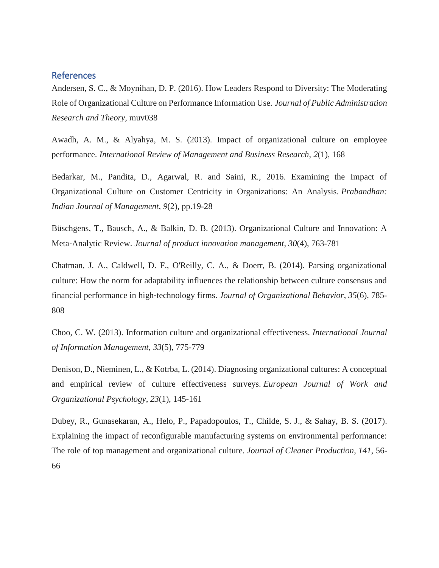## References

Andersen, S. C., & Moynihan, D. P. (2016). How Leaders Respond to Diversity: The Moderating Role of Organizational Culture on Performance Information Use. *Journal of Public Administration Research and Theory*, muv038

Awadh, A. M., & Alyahya, M. S. (2013). Impact of organizational culture on employee performance. *International Review of Management and Business Research*, *2*(1), 168

Bedarkar, M., Pandita, D., Agarwal, R. and Saini, R., 2016. Examining the Impact of Organizational Culture on Customer Centricity in Organizations: An Analysis. *Prabandhan: Indian Journal of Management*, *9*(2), pp.19-28

Büschgens, T., Bausch, A., & Balkin, D. B. (2013). Organizational Culture and Innovation: A Meta‐Analytic Review. *Journal of product innovation management*, *30*(4), 763-781

Chatman, J. A., Caldwell, D. F., O'Reilly, C. A., & Doerr, B. (2014). Parsing organizational culture: How the norm for adaptability influences the relationship between culture consensus and financial performance in high‐technology firms. *Journal of Organizational Behavior*, *35*(6), 785- 808

Choo, C. W. (2013). Information culture and organizational effectiveness. *International Journal of Information Management*, *33*(5), 775-779

Denison, D., Nieminen, L., & Kotrba, L. (2014). Diagnosing organizational cultures: A conceptual and empirical review of culture effectiveness surveys. *European Journal of Work and Organizational Psychology*, *23*(1), 145-161

Dubey, R., Gunasekaran, A., Helo, P., Papadopoulos, T., Childe, S. J., & Sahay, B. S. (2017). Explaining the impact of reconfigurable manufacturing systems on environmental performance: The role of top management and organizational culture. *Journal of Cleaner Production*, *141*, 56- 66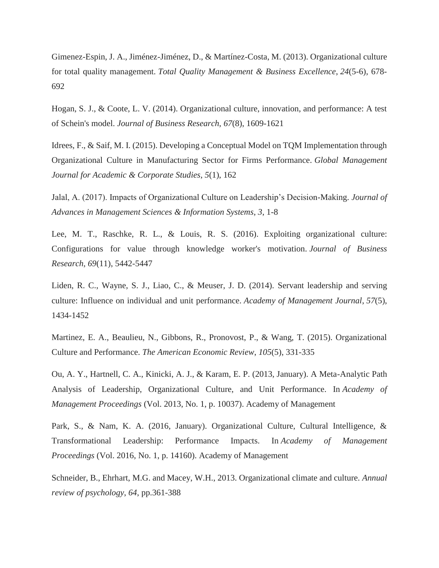Gimenez-Espin, J. A., Jiménez-Jiménez, D., & Martínez-Costa, M. (2013). Organizational culture for total quality management. *Total Quality Management & Business Excellence*, *24*(5-6), 678- 692

Hogan, S. J., & Coote, L. V. (2014). Organizational culture, innovation, and performance: A test of Schein's model. *Journal of Business Research*, *67*(8), 1609-1621

Idrees, F., & Saif, M. I. (2015). Developing a Conceptual Model on TQM Implementation through Organizational Culture in Manufacturing Sector for Firms Performance. *Global Management Journal for Academic & Corporate Studies*, *5*(1), 162

Jalal, A. (2017). Impacts of Organizational Culture on Leadership's Decision-Making. *Journal of Advances in Management Sciences & Information Systems*, *3*, 1-8

Lee, M. T., Raschke, R. L., & Louis, R. S. (2016). Exploiting organizational culture: Configurations for value through knowledge worker's motivation. *Journal of Business Research*, *69*(11), 5442-5447

Liden, R. C., Wayne, S. J., Liao, C., & Meuser, J. D. (2014). Servant leadership and serving culture: Influence on individual and unit performance. *Academy of Management Journal*, *57*(5), 1434-1452

Martinez, E. A., Beaulieu, N., Gibbons, R., Pronovost, P., & Wang, T. (2015). Organizational Culture and Performance. *The American Economic Review*, *105*(5), 331-335

Ou, A. Y., Hartnell, C. A., Kinicki, A. J., & Karam, E. P. (2013, January). A Meta-Analytic Path Analysis of Leadership, Organizational Culture, and Unit Performance. In *Academy of Management Proceedings* (Vol. 2013, No. 1, p. 10037). Academy of Management

Park, S., & Nam, K. A. (2016, January). Organizational Culture, Cultural Intelligence, & Transformational Leadership: Performance Impacts. In *Academy of Management Proceedings* (Vol. 2016, No. 1, p. 14160). Academy of Management

Schneider, B., Ehrhart, M.G. and Macey, W.H., 2013. Organizational climate and culture. *Annual review of psychology*, *64*, pp.361-388